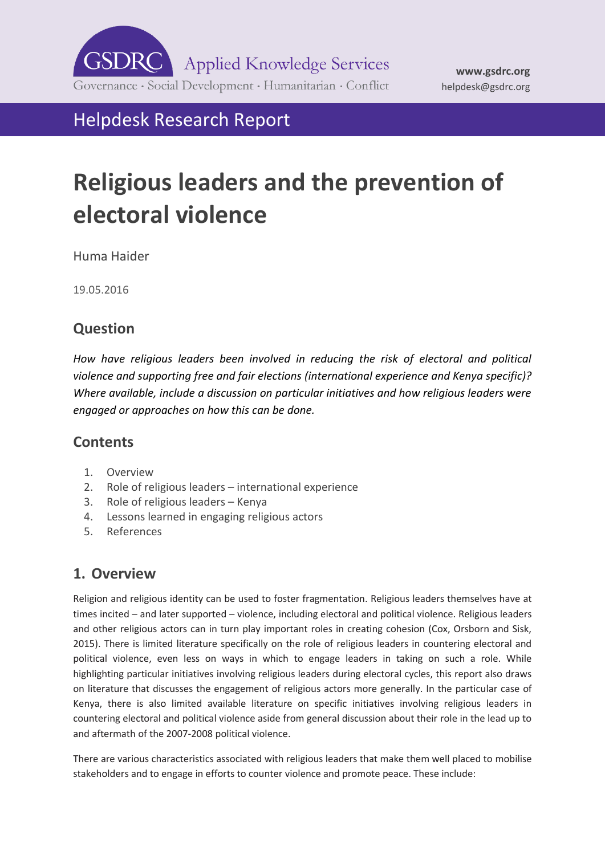

Helpdesk Research Report

# **Religious leaders and the prevention of electoral violence**

Huma Haider

19.05.2016

# **Question**

*How have religious leaders been involved in reducing the risk of electoral and political violence and supporting free and fair elections (international experience and Kenya specific)? Where available, include a discussion on particular initiatives and how religious leaders were engaged or approaches on how this can be done.*

# **Contents**

- 1. [Overview](#page-0-0)
- 2. Role of religious leaders [international experience](#page-4-0)
- 3. [Role of religious leaders](#page-11-0) Kenya
- 4. [Lessons learned in engaging religious actors](#page-15-0)
- <span id="page-0-0"></span>5. [References](#page-17-0)

# **1. Overview**

Religion and religious identity can be used to foster fragmentation. Religious leaders themselves have at times incited – and later supported – violence, including electoral and political violence. Religious leaders and other religious actors can in turn play important roles in creating cohesion (Cox, Orsborn and Sisk, 2015). There is limited literature specifically on the role of religious leaders in countering electoral and political violence, even less on ways in which to engage leaders in taking on such a role. While highlighting particular initiatives involving religious leaders during electoral cycles, this report also draws on literature that discusses the engagement of religious actors more generally. In the particular case of Kenya, there is also limited available literature on specific initiatives involving religious leaders in countering electoral and political violence aside from general discussion about their role in the lead up to and aftermath of the 2007-2008 political violence.

There are various characteristics associated with religious leaders that make them well placed to mobilise stakeholders and to engage in efforts to counter violence and promote peace. These include: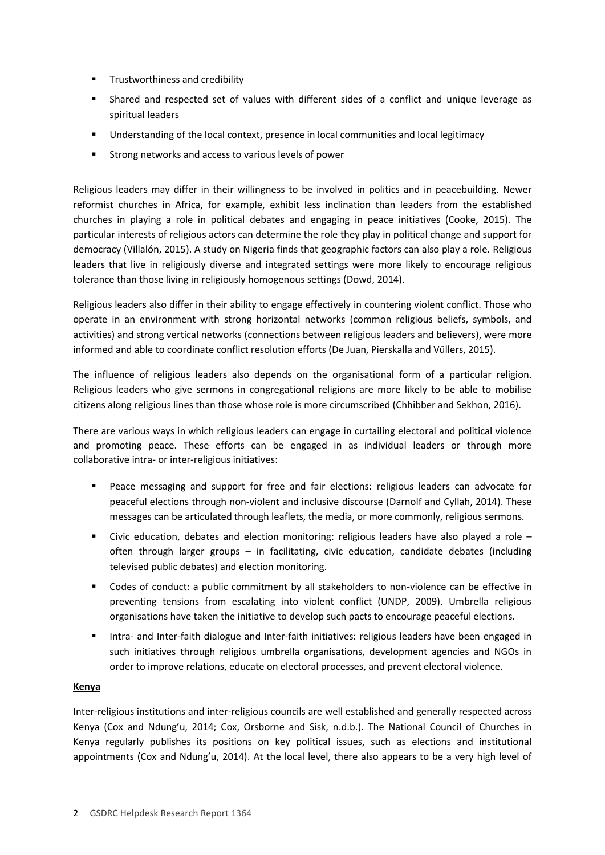- **Trustworthiness and credibility**
- Shared and respected set of values with different sides of a conflict and unique leverage as spiritual leaders
- Understanding of the local context, presence in local communities and local legitimacy
- Strong networks and access to various levels of power

Religious leaders may differ in their willingness to be involved in politics and in peacebuilding. Newer reformist churches in Africa, for example, exhibit less inclination than leaders from the established churches in playing a role in political debates and engaging in peace initiatives (Cooke, 2015). The particular interests of religious actors can determine the role they play in political change and support for democracy (Villalón, 2015). A study on Nigeria finds that geographic factors can also play a role. Religious leaders that live in religiously diverse and integrated settings were more likely to encourage religious tolerance than those living in religiously homogenous settings (Dowd, 2014).

Religious leaders also differ in their ability to engage effectively in countering violent conflict. Those who operate in an environment with strong horizontal networks (common religious beliefs, symbols, and activities) and strong vertical networks (connections between religious leaders and believers), were more informed and able to coordinate conflict resolution efforts (De Juan, Pierskalla and Vüllers, 2015).

The influence of religious leaders also depends on the organisational form of a particular religion. Religious leaders who give sermons in congregational religions are more likely to be able to mobilise citizens along religious lines than those whose role is more circumscribed (Chhibber and Sekhon, 2016).

There are various ways in which religious leaders can engage in curtailing electoral and political violence and promoting peace. These efforts can be engaged in as individual leaders or through more collaborative intra- or inter-religious initiatives:

- Peace messaging and support for free and fair elections: religious leaders can advocate for peaceful elections through non-violent and inclusive discourse (Darnolf and Cyllah, 2014). These messages can be articulated through leaflets, the media, or more commonly, religious sermons.
- **EXECT** Civic education, debates and election monitoring: religious leaders have also played a role often through larger groups – in facilitating, civic education, candidate debates (including televised public debates) and election monitoring.
- Codes of conduct: a public commitment by all stakeholders to non-violence can be effective in preventing tensions from escalating into violent conflict (UNDP, 2009). Umbrella religious organisations have taken the initiative to develop such pacts to encourage peaceful elections.
- **Intra- and Inter-faith dialogue and Inter-faith initiatives: religious leaders have been engaged in** such initiatives through religious umbrella organisations, development agencies and NGOs in order to improve relations, educate on electoral processes, and prevent electoral violence.

#### **Kenya**

Inter-religious institutions and inter-religious councils are well established and generally respected across Kenya (Cox and Ndung'u, 2014; Cox, Orsborne and Sisk, n.d.b.). The National Council of Churches in Kenya regularly publishes its positions on key political issues, such as elections and institutional appointments (Cox and Ndung'u, 2014). At the local level, there also appears to be a very high level of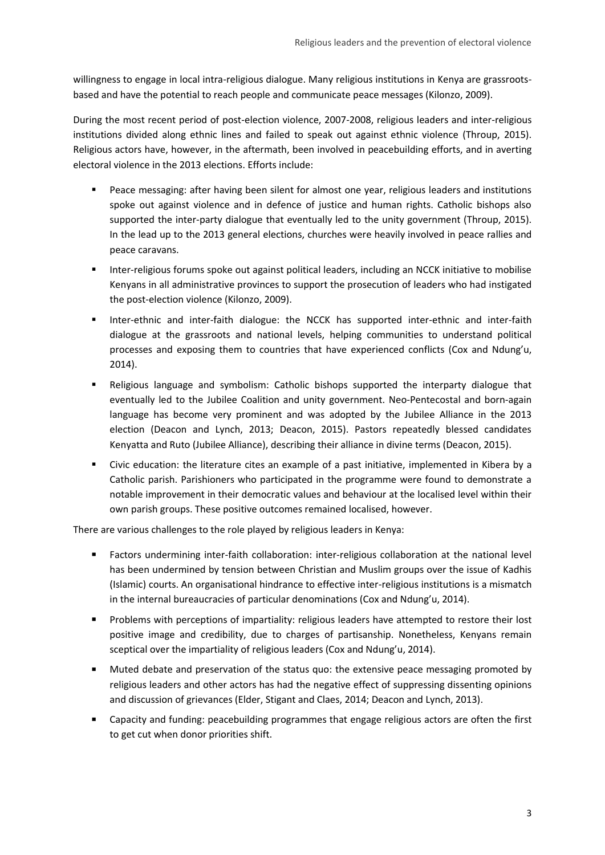willingness to engage in local intra-religious dialogue. Many religious institutions in Kenya are grassrootsbased and have the potential to reach people and communicate peace messages (Kilonzo, 2009).

During the most recent period of post-election violence, 2007-2008, religious leaders and inter-religious institutions divided along ethnic lines and failed to speak out against ethnic violence (Throup, 2015). Religious actors have, however, in the aftermath, been involved in peacebuilding efforts, and in averting electoral violence in the 2013 elections. Efforts include:

- Peace messaging: after having been silent for almost one year, religious leaders and institutions spoke out against violence and in defence of justice and human rights. Catholic bishops also supported the inter-party dialogue that eventually led to the unity government (Throup, 2015). In the lead up to the 2013 general elections, churches were heavily involved in peace rallies and peace caravans.
- **Inter-religious forums spoke out against political leaders, including an NCCK initiative to mobilise** Kenyans in all administrative provinces to support the prosecution of leaders who had instigated the post-election violence (Kilonzo, 2009).
- Inter-ethnic and inter-faith dialogue: the NCCK has supported inter-ethnic and inter-faith dialogue at the grassroots and national levels, helping communities to understand political processes and exposing them to countries that have experienced conflicts (Cox and Ndung'u, 2014).
- Religious language and symbolism: Catholic bishops supported the interparty dialogue that eventually led to the Jubilee Coalition and unity government. Neo-Pentecostal and born-again language has become very prominent and was adopted by the Jubilee Alliance in the 2013 election (Deacon and Lynch, 2013; Deacon, 2015). Pastors repeatedly blessed candidates Kenyatta and Ruto (Jubilee Alliance), describing their alliance in divine terms (Deacon, 2015).
- Civic education: the literature cites an example of a past initiative, implemented in Kibera by a Catholic parish. Parishioners who participated in the programme were found to demonstrate a notable improvement in their democratic values and behaviour at the localised level within their own parish groups. These positive outcomes remained localised, however.

There are various challenges to the role played by religious leaders in Kenya:

- Factors undermining inter-faith collaboration: inter-religious collaboration at the national level has been undermined by tension between Christian and Muslim groups over the issue of Kadhis (Islamic) courts. An organisational hindrance to effective inter-religious institutions is a mismatch in the internal bureaucracies of particular denominations (Cox and Ndung'u, 2014).
- Problems with perceptions of impartiality: religious leaders have attempted to restore their lost positive image and credibility, due to charges of partisanship. Nonetheless, Kenyans remain sceptical over the impartiality of religious leaders (Cox and Ndung'u, 2014).
- Muted debate and preservation of the status quo: the extensive peace messaging promoted by religious leaders and other actors has had the negative effect of suppressing dissenting opinions and discussion of grievances (Elder, Stigant and Claes, 2014; Deacon and Lynch, 2013).
- Capacity and funding: peacebuilding programmes that engage religious actors are often the first to get cut when donor priorities shift.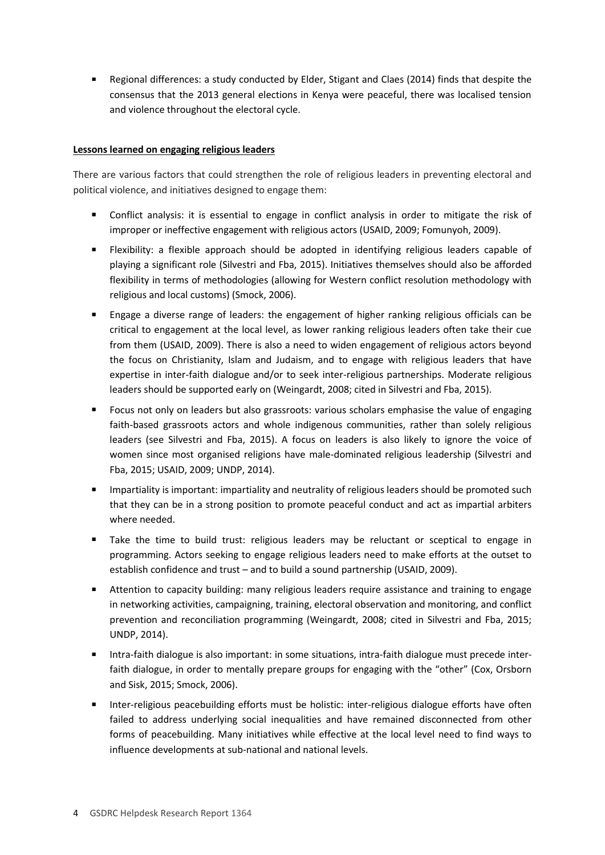Regional differences: a study conducted by Elder, Stigant and Claes (2014) finds that despite the consensus that the 2013 general elections in Kenya were peaceful, there was localised tension and violence throughout the electoral cycle.

#### **Lessons learned on engaging religious leaders**

There are various factors that could strengthen the role of religious leaders in preventing electoral and political violence, and initiatives designed to engage them:

- Conflict analysis: it is essential to engage in conflict analysis in order to mitigate the risk of improper or ineffective engagement with religious actors (USAID, 2009; Fomunyoh, 2009).
- Flexibility: a flexible approach should be adopted in identifying religious leaders capable of playing a significant role (Silvestri and Fba, 2015). Initiatives themselves should also be afforded flexibility in terms of methodologies (allowing for Western conflict resolution methodology with religious and local customs) (Smock, 2006).
- Engage a diverse range of leaders: the engagement of higher ranking religious officials can be critical to engagement at the local level, as lower ranking religious leaders often take their cue from them (USAID, 2009). There is also a need to widen engagement of religious actors beyond the focus on Christianity, Islam and Judaism, and to engage with religious leaders that have expertise in inter-faith dialogue and/or to seek inter-religious partnerships. Moderate religious leaders should be supported early on (Weingardt, 2008; cited in Silvestri and Fba, 2015).
- Focus not only on leaders but also grassroots: various scholars emphasise the value of engaging faith-based grassroots actors and whole indigenous communities, rather than solely religious leaders (see Silvestri and Fba, 2015). A focus on leaders is also likely to ignore the voice of women since most organised religions have male-dominated religious leadership (Silvestri and Fba, 2015; USAID, 2009; UNDP, 2014).
- Impartiality is important: impartiality and neutrality of religious leaders should be promoted such that they can be in a strong position to promote peaceful conduct and act as impartial arbiters where needed.
- Take the time to build trust: religious leaders may be reluctant or sceptical to engage in programming. Actors seeking to engage religious leaders need to make efforts at the outset to establish confidence and trust – and to build a sound partnership (USAID, 2009).
- Attention to capacity building: many religious leaders require assistance and training to engage in networking activities, campaigning, training, electoral observation and monitoring, and conflict prevention and reconciliation programming (Weingardt, 2008; cited in Silvestri and Fba, 2015; UNDP, 2014).
- Intra-faith dialogue is also important: in some situations, intra-faith dialogue must precede interfaith dialogue, in order to mentally prepare groups for engaging with the "other" (Cox, Orsborn and Sisk, 2015; Smock, 2006).
- Inter-religious peacebuilding efforts must be holistic: inter-religious dialogue efforts have often failed to address underlying social inequalities and have remained disconnected from other forms of peacebuilding. Many initiatives while effective at the local level need to find ways to influence developments at sub-national and national levels.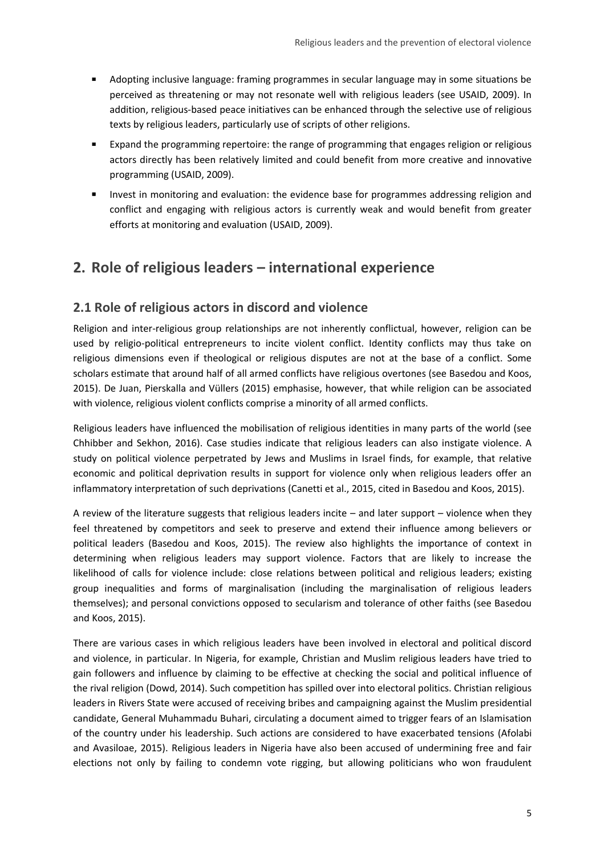- <span id="page-4-0"></span> Adopting inclusive language: framing programmes in secular language may in some situations be perceived as threatening or may not resonate well with religious leaders (see USAID, 2009). In addition, religious-based peace initiatives can be enhanced through the selective use of religious texts by religious leaders, particularly use of scripts of other religions.
- Expand the programming repertoire: the range of programming that engages religion or religious actors directly has been relatively limited and could benefit from more creative and innovative programming (USAID, 2009).
- **Invest in monitoring and evaluation: the evidence base for programmes addressing religion and** conflict and engaging with religious actors is currently weak and would benefit from greater efforts at monitoring and evaluation (USAID, 2009).

# **2. Role of religious leaders – international experience**

## **2.1 Role of religious actors in discord and violence**

Religion and inter-religious group relationships are not inherently conflictual, however, religion can be used by religio-political entrepreneurs to incite violent conflict. Identity conflicts may thus take on religious dimensions even if theological or religious disputes are not at the base of a conflict. Some scholars estimate that around half of all armed conflicts have religious overtones (see Basedou and Koos, 2015). De Juan, Pierskalla and Vüllers (2015) emphasise, however, that while religion can be associated with violence, religious violent conflicts comprise a minority of all armed conflicts.

Religious leaders have influenced the mobilisation of religious identities in many parts of the world (see Chhibber and Sekhon, 2016). Case studies indicate that religious leaders can also instigate violence. A study on political violence perpetrated by Jews and Muslims in Israel finds, for example, that relative economic and political deprivation results in support for violence only when religious leaders offer an inflammatory interpretation of such deprivations (Canetti et al., 2015, cited in Basedou and Koos, 2015).

A review of the literature suggests that religious leaders incite – and later support – violence when they feel threatened by competitors and seek to preserve and extend their influence among believers or political leaders (Basedou and Koos, 2015). The review also highlights the importance of context in determining when religious leaders may support violence. Factors that are likely to increase the likelihood of calls for violence include: close relations between political and religious leaders; existing group inequalities and forms of marginalisation (including the marginalisation of religious leaders themselves); and personal convictions opposed to secularism and tolerance of other faiths (see Basedou and Koos, 2015).

There are various cases in which religious leaders have been involved in electoral and political discord and violence, in particular. In Nigeria, for example, Christian and Muslim religious leaders have tried to gain followers and influence by claiming to be effective at checking the social and political influence of the rival religion (Dowd, 2014). Such competition has spilled over into electoral politics. Christian religious leaders in Rivers State were accused of receiving bribes and campaigning against the Muslim presidential candidate, General Muhammadu Buhari, circulating a document aimed to trigger fears of an Islamisation of the country under his leadership. Such actions are considered to have exacerbated tensions (Afolabi and Avasiloae, 2015). Religious leaders in Nigeria have also been accused of undermining free and fair elections not only by failing to condemn vote rigging, but allowing politicians who won fraudulent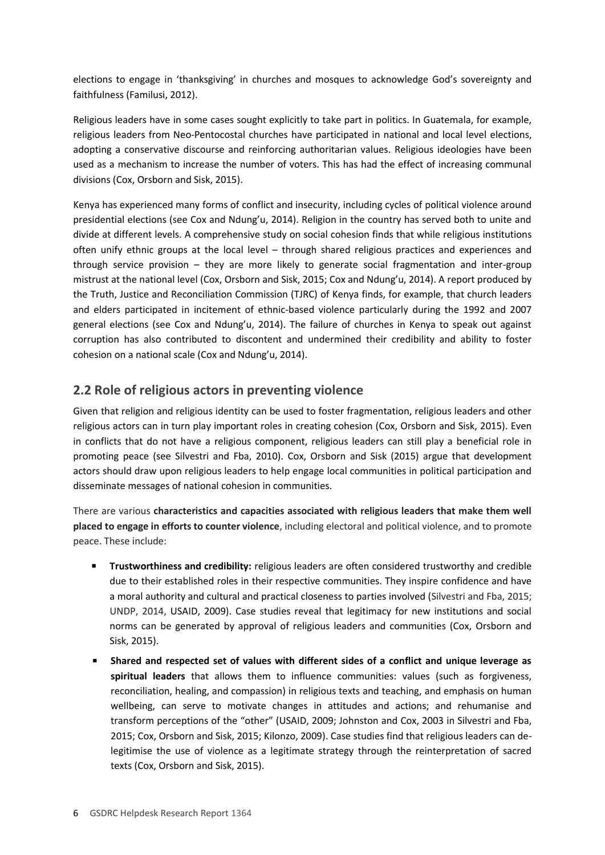elections to engage in 'thanksgiving' in churches and mosques to acknowledge God's sovereignty and faithfulness (Familusi, 2012).

Religious leaders have in some cases sought explicitly to take part in politics. In Guatemala, for example, religious leaders from Neo-Pentocostal churches have participated in national and local level elections, adopting a conservative discourse and reinforcing authoritarian values. Religious ideologies have been used as a mechanism to increase the number of voters. This has had the effect of increasing communal divisions (Cox, Orsborn and Sisk, 2015).

Kenya has experienced many forms of conflict and insecurity, including cycles of political violence around presidential elections (see Cox and Ndung'u, 2014). Religion in the country has served both to unite and divide at different levels. A comprehensive study on social cohesion finds that while religious institutions often unify ethnic groups at the local level – through shared religious practices and experiences and through service provision – they are more likely to generate social fragmentation and inter-group mistrust at the national level (Cox, Orsborn and Sisk, 2015; Cox and Ndung'u, 2014). A report produced by the Truth, Justice and Reconciliation Commission (TJRC) of Kenya finds, for example, that church leaders and elders participated in incitement of ethnic-based violence particularly during the 1992 and 2007 general elections (see Cox and Ndung'u, 2014). The failure of churches in Kenya to speak out against corruption has also contributed to discontent and undermined their credibility and ability to foster cohesion on a national scale (Cox and Ndung'u, 2014).

# **2.2 Role of religious actors in preventing violence**

Given that religion and religious identity can be used to foster fragmentation, religious leaders and other religious actors can in turn play important roles in creating cohesion (Cox, Orsborn and Sisk, 2015). Even in conflicts that do not have a religious component, religious leaders can still play a beneficial role in promoting peace (see Silvestri and Fba, 2010). Cox, Orsborn and Sisk (2015) argue that development actors should draw upon religious leaders to help engage local communities in political participation and disseminate messages of national cohesion in communities.

There are various **characteristics and capacities associated with religious leaders that make them well placed to engage in efforts to counter violence**, including electoral and political violence, and to promote peace. These include:

- **Trustworthiness and credibility:** religious leaders are often considered trustworthy and credible due to their established roles in their respective communities. They inspire confidence and have a moral authority and cultural and practical closeness to parties involved (Silvestri and Fba, 2015; UNDP, 2014, USAID, 2009). Case studies reveal that legitimacy for new institutions and social norms can be generated by approval of religious leaders and communities (Cox, Orsborn and Sisk, 2015).
- **Shared and respected set of values with different sides of a conflict and unique leverage as spiritual leaders** that allows them to influence communities: values (such as forgiveness, reconciliation, healing, and compassion) in religious texts and teaching, and emphasis on human wellbeing, can serve to motivate changes in attitudes and actions; and rehumanise and transform perceptions of the "other" (USAID, 2009; Johnston and Cox, 2003 in Silvestri and Fba, 2015; Cox, Orsborn and Sisk, 2015; Kilonzo, 2009). Case studies find that religious leaders can delegitimise the use of violence as a legitimate strategy through the reinterpretation of sacred texts (Cox, Orsborn and Sisk, 2015).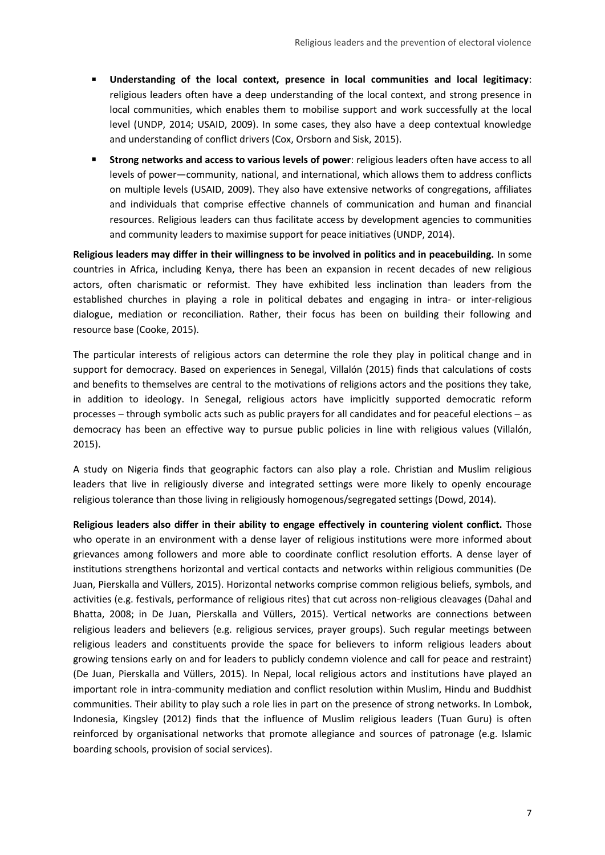- **Understanding of the local context, presence in local communities and local legitimacy**: religious leaders often have a deep understanding of the local context, and strong presence in local communities, which enables them to mobilise support and work successfully at the local level (UNDP, 2014; USAID, 2009). In some cases, they also have a deep contextual knowledge and understanding of conflict drivers (Cox, Orsborn and Sisk, 2015).
- **Strong networks and access to various levels of power**: religious leaders often have access to all levels of power—community, national, and international, which allows them to address conflicts on multiple levels (USAID, 2009). They also have extensive networks of congregations, affiliates and individuals that comprise effective channels of communication and human and financial resources. Religious leaders can thus facilitate access by development agencies to communities and community leaders to maximise support for peace initiatives (UNDP, 2014).

**Religious leaders may differ in their willingness to be involved in politics and in peacebuilding.** In some countries in Africa, including Kenya, there has been an expansion in recent decades of new religious actors, often charismatic or reformist. They have exhibited less inclination than leaders from the established churches in playing a role in political debates and engaging in intra- or inter-religious dialogue, mediation or reconciliation. Rather, their focus has been on building their following and resource base (Cooke, 2015).

The particular interests of religious actors can determine the role they play in political change and in support for democracy. Based on experiences in Senegal, Villalón (2015) finds that calculations of costs and benefits to themselves are central to the motivations of religions actors and the positions they take, in addition to ideology. In Senegal, religious actors have implicitly supported democratic reform processes – through symbolic acts such as public prayers for all candidates and for peaceful elections – as democracy has been an effective way to pursue public policies in line with religious values (Villalón, 2015).

A study on Nigeria finds that geographic factors can also play a role. Christian and Muslim religious leaders that live in religiously diverse and integrated settings were more likely to openly encourage religious tolerance than those living in religiously homogenous/segregated settings (Dowd, 2014).

**Religious leaders also differ in their ability to engage effectively in countering violent conflict.** Those who operate in an environment with a dense layer of religious institutions were more informed about grievances among followers and more able to coordinate conflict resolution efforts. A dense layer of institutions strengthens horizontal and vertical contacts and networks within religious communities (De Juan, Pierskalla and Vüllers, 2015). Horizontal networks comprise common religious beliefs, symbols, and activities (e.g. festivals, performance of religious rites) that cut across non-religious cleavages (Dahal and Bhatta, 2008; in De Juan, Pierskalla and Vüllers, 2015). Vertical networks are connections between religious leaders and believers (e.g. religious services, prayer groups). Such regular meetings between religious leaders and constituents provide the space for believers to inform religious leaders about growing tensions early on and for leaders to publicly condemn violence and call for peace and restraint) (De Juan, Pierskalla and Vüllers, 2015). In Nepal, local religious actors and institutions have played an important role in intra-community mediation and conflict resolution within Muslim, Hindu and Buddhist communities. Their ability to play such a role lies in part on the presence of strong networks. In Lombok, Indonesia, Kingsley (2012) finds that the influence of Muslim religious leaders (Tuan Guru) is often reinforced by organisational networks that promote allegiance and sources of patronage (e.g. Islamic boarding schools, provision of social services).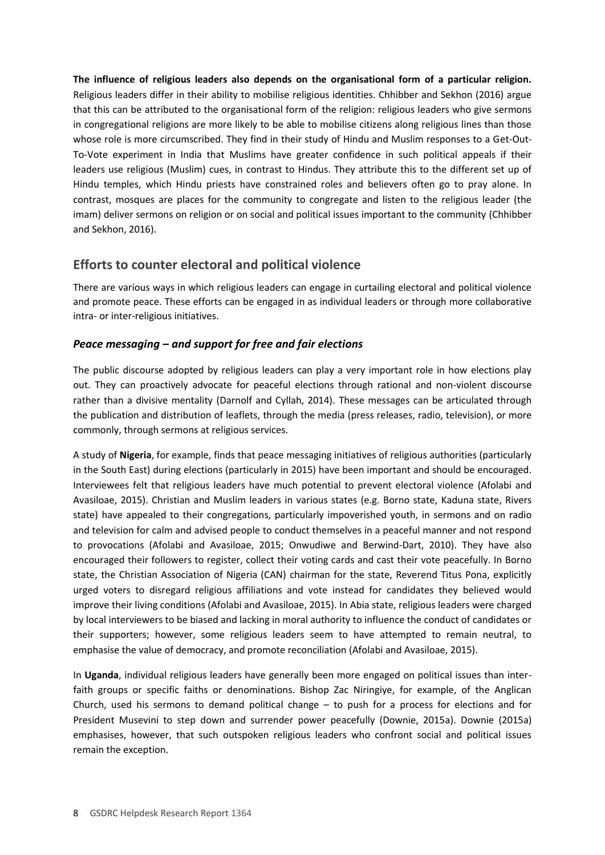**The influence of religious leaders also depends on the organisational form of a particular religion.** Religious leaders differ in their ability to mobilise religious identities. Chhibber and Sekhon (2016) argue that this can be attributed to the organisational form of the religion: religious leaders who give sermons in congregational religions are more likely to be able to mobilise citizens along religious lines than those whose role is more circumscribed. They find in their study of Hindu and Muslim responses to a Get-Out-To-Vote experiment in India that Muslims have greater confidence in such political appeals if their leaders use religious (Muslim) cues, in contrast to Hindus. They attribute this to the different set up of Hindu temples, which Hindu priests have constrained roles and believers often go to pray alone. In contrast, mosques are places for the community to congregate and listen to the religious leader (the imam) deliver sermons on religion or on social and political issues important to the community (Chhibber and Sekhon, 2016).

## **Efforts to counter electoral and political violence**

There are various ways in which religious leaders can engage in curtailing electoral and political violence and promote peace. These efforts can be engaged in as individual leaders or through more collaborative intra- or inter-religious initiatives.

### *Peace messaging – and support for free and fair elections*

The public discourse adopted by religious leaders can play a very important role in how elections play out. They can proactively advocate for peaceful elections through rational and non-violent discourse rather than a divisive mentality (Darnolf and Cyllah, 2014). These messages can be articulated through the publication and distribution of leaflets, through the media (press releases, radio, television), or more commonly, through sermons at religious services.

A study of **Nigeria**, for example, finds that peace messaging initiatives of religious authorities (particularly in the South East) during elections (particularly in 2015) have been important and should be encouraged. Interviewees felt that religious leaders have much potential to prevent electoral violence (Afolabi and Avasiloae, 2015). Christian and Muslim leaders in various states (e.g. Borno state, Kaduna state, Rivers state) have appealed to their congregations, particularly impoverished youth, in sermons and on radio and television for calm and advised people to conduct themselves in a peaceful manner and not respond to provocations (Afolabi and Avasiloae, 2015; Onwudiwe and Berwind-Dart, 2010). They have also encouraged their followers to register, collect their voting cards and cast their vote peacefully. In Borno state, the Christian Association of Nigeria (CAN) chairman for the state, Reverend Titus Pona, explicitly urged voters to disregard religious affiliations and vote instead for candidates they believed would improve their living conditions (Afolabi and Avasiloae, 2015). In Abia state, religious leaders were charged by local interviewers to be biased and lacking in moral authority to influence the conduct of candidates or their supporters; however, some religious leaders seem to have attempted to remain neutral, to emphasise the value of democracy, and promote reconciliation (Afolabi and Avasiloae, 2015).

In **Uganda**, individual religious leaders have generally been more engaged on political issues than interfaith groups or specific faiths or denominations. Bishop Zac Niringiye, for example, of the Anglican Church, used his sermons to demand political change – to push for a process for elections and for President Musevini to step down and surrender power peacefully (Downie, 2015a). Downie (2015a) emphasises, however, that such outspoken religious leaders who confront social and political issues remain the exception.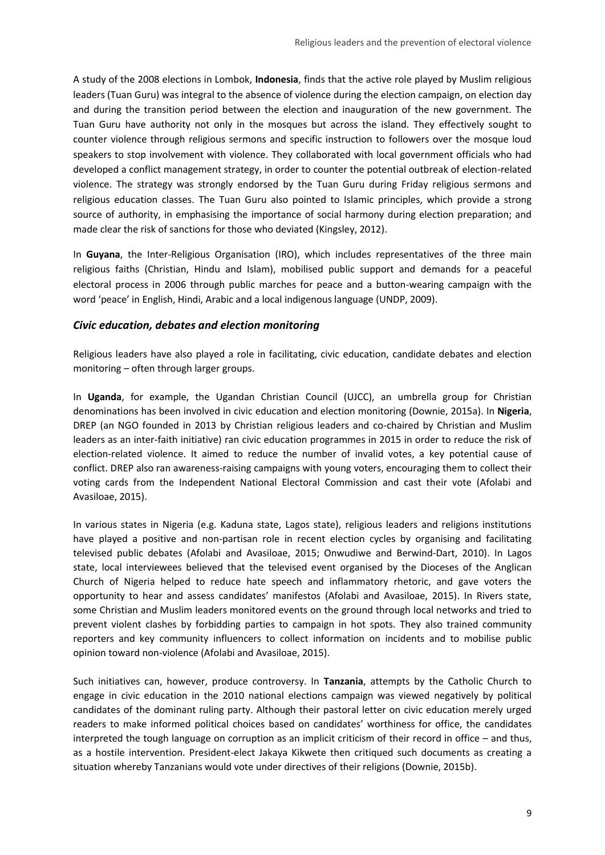A study of the 2008 elections in Lombok, **Indonesia**, finds that the active role played by Muslim religious leaders (Tuan Guru) was integral to the absence of violence during the election campaign, on election day and during the transition period between the election and inauguration of the new government. The Tuan Guru have authority not only in the mosques but across the island. They effectively sought to counter violence through religious sermons and specific instruction to followers over the mosque loud speakers to stop involvement with violence. They collaborated with local government officials who had developed a conflict management strategy, in order to counter the potential outbreak of election-related violence. The strategy was strongly endorsed by the Tuan Guru during Friday religious sermons and religious education classes. The Tuan Guru also pointed to Islamic principles, which provide a strong source of authority, in emphasising the importance of social harmony during election preparation; and made clear the risk of sanctions for those who deviated (Kingsley, 2012).

In **Guyana**, the Inter-Religious Organisation (IRO), which includes representatives of the three main religious faiths (Christian, Hindu and Islam), mobilised public support and demands for a peaceful electoral process in 2006 through public marches for peace and a button-wearing campaign with the word 'peace' in English, Hindi, Arabic and a local indigenous language (UNDP, 2009).

#### *Civic education, debates and election monitoring*

Religious leaders have also played a role in facilitating, civic education, candidate debates and election monitoring – often through larger groups.

In **Uganda**, for example, the Ugandan Christian Council (UJCC), an umbrella group for Christian denominations has been involved in civic education and election monitoring (Downie, 2015a). In **Nigeria**, DREP (an NGO founded in 2013 by Christian religious leaders and co-chaired by Christian and Muslim leaders as an inter-faith initiative) ran civic education programmes in 2015 in order to reduce the risk of election-related violence. It aimed to reduce the number of invalid votes, a key potential cause of conflict. DREP also ran awareness-raising campaigns with young voters, encouraging them to collect their voting cards from the Independent National Electoral Commission and cast their vote (Afolabi and Avasiloae, 2015).

In various states in Nigeria (e.g. Kaduna state, Lagos state), religious leaders and religions institutions have played a positive and non-partisan role in recent election cycles by organising and facilitating televised public debates (Afolabi and Avasiloae, 2015; Onwudiwe and Berwind-Dart, 2010). In Lagos state, local interviewees believed that the televised event organised by the Dioceses of the Anglican Church of Nigeria helped to reduce hate speech and inflammatory rhetoric, and gave voters the opportunity to hear and assess candidates' manifestos (Afolabi and Avasiloae, 2015). In Rivers state, some Christian and Muslim leaders monitored events on the ground through local networks and tried to prevent violent clashes by forbidding parties to campaign in hot spots. They also trained community reporters and key community influencers to collect information on incidents and to mobilise public opinion toward non-violence (Afolabi and Avasiloae, 2015).

Such initiatives can, however, produce controversy. In **Tanzania**, attempts by the Catholic Church to engage in civic education in the 2010 national elections campaign was viewed negatively by political candidates of the dominant ruling party. Although their pastoral letter on civic education merely urged readers to make informed political choices based on candidates' worthiness for office, the candidates interpreted the tough language on corruption as an implicit criticism of their record in office – and thus, as a hostile intervention. President-elect Jakaya Kikwete then critiqued such documents as creating a situation whereby Tanzanians would vote under directives of their religions (Downie, 2015b).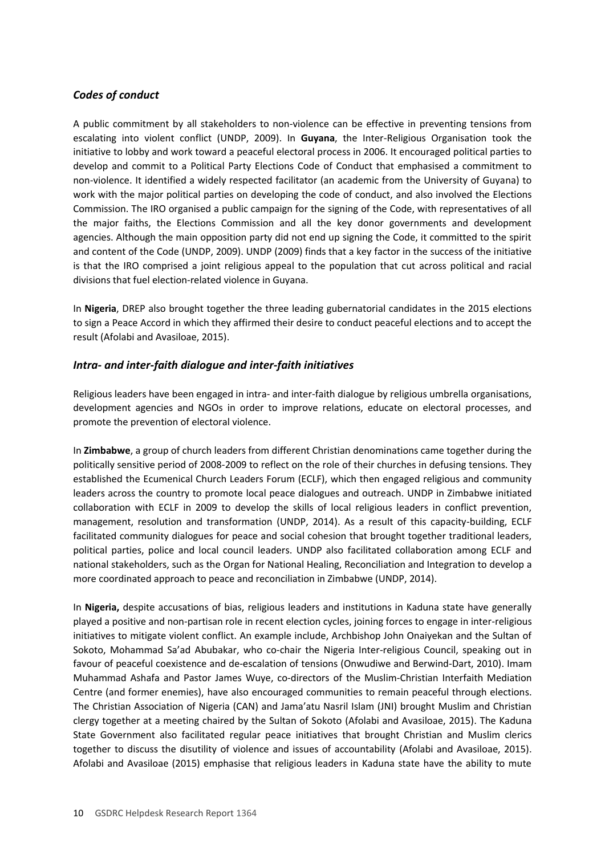### *Codes of conduct*

A public commitment by all stakeholders to non-violence can be effective in preventing tensions from escalating into violent conflict (UNDP, 2009). In **Guyana**, the Inter-Religious Organisation took the initiative to lobby and work toward a peaceful electoral process in 2006. It encouraged political parties to develop and commit to a Political Party Elections Code of Conduct that emphasised a commitment to non-violence. It identified a widely respected facilitator (an academic from the University of Guyana) to work with the major political parties on developing the code of conduct, and also involved the Elections Commission. The IRO organised a public campaign for the signing of the Code, with representatives of all the major faiths, the Elections Commission and all the key donor governments and development agencies. Although the main opposition party did not end up signing the Code, it committed to the spirit and content of the Code (UNDP, 2009). UNDP (2009) finds that a key factor in the success of the initiative is that the IRO comprised a joint religious appeal to the population that cut across political and racial divisions that fuel election-related violence in Guyana.

In **Nigeria**, DREP also brought together the three leading gubernatorial candidates in the 2015 elections to sign a Peace Accord in which they affirmed their desire to conduct peaceful elections and to accept the result (Afolabi and Avasiloae, 2015).

#### *Intra- and inter-faith dialogue and inter-faith initiatives*

Religious leaders have been engaged in intra- and inter-faith dialogue by religious umbrella organisations, development agencies and NGOs in order to improve relations, educate on electoral processes, and promote the prevention of electoral violence.

In **Zimbabwe**, a group of church leaders from different Christian denominations came together during the politically sensitive period of 2008-2009 to reflect on the role of their churches in defusing tensions. They established the Ecumenical Church Leaders Forum (ECLF), which then engaged religious and community leaders across the country to promote local peace dialogues and outreach. UNDP in Zimbabwe initiated collaboration with ECLF in 2009 to develop the skills of local religious leaders in conflict prevention, management, resolution and transformation (UNDP, 2014). As a result of this capacity-building, ECLF facilitated community dialogues for peace and social cohesion that brought together traditional leaders, political parties, police and local council leaders. UNDP also facilitated collaboration among ECLF and national stakeholders, such as the Organ for National Healing, Reconciliation and Integration to develop a more coordinated approach to peace and reconciliation in Zimbabwe (UNDP, 2014).

In **Nigeria,** despite accusations of bias, religious leaders and institutions in Kaduna state have generally played a positive and non-partisan role in recent election cycles, joining forces to engage in inter-religious initiatives to mitigate violent conflict. An example include, Archbishop John Onaiyekan and the Sultan of Sokoto, Mohammad Sa'ad Abubakar, who co-chair the Nigeria Inter-religious Council, speaking out in favour of peaceful coexistence and de-escalation of tensions (Onwudiwe and Berwind-Dart, 2010). Imam Muhammad Ashafa and Pastor James Wuye, co-directors of the Muslim-Christian Interfaith Mediation Centre (and former enemies), have also encouraged communities to remain peaceful through elections. The Christian Association of Nigeria (CAN) and Jama'atu Nasril Islam (JNI) brought Muslim and Christian clergy together at a meeting chaired by the Sultan of Sokoto (Afolabi and Avasiloae, 2015). The Kaduna State Government also facilitated regular peace initiatives that brought Christian and Muslim clerics together to discuss the disutility of violence and issues of accountability (Afolabi and Avasiloae, 2015). Afolabi and Avasiloae (2015) emphasise that religious leaders in Kaduna state have the ability to mute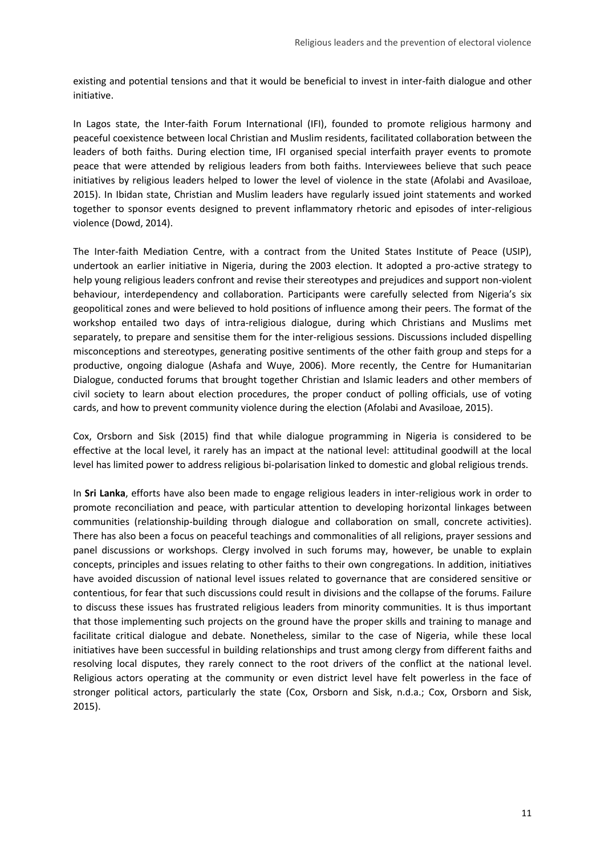existing and potential tensions and that it would be beneficial to invest in inter-faith dialogue and other initiative.

In Lagos state, the Inter-faith Forum International (IFI), founded to promote religious harmony and peaceful coexistence between local Christian and Muslim residents, facilitated collaboration between the leaders of both faiths. During election time, IFI organised special interfaith prayer events to promote peace that were attended by religious leaders from both faiths. Interviewees believe that such peace initiatives by religious leaders helped to lower the level of violence in the state (Afolabi and Avasiloae, 2015). In Ibidan state, Christian and Muslim leaders have regularly issued joint statements and worked together to sponsor events designed to prevent inflammatory rhetoric and episodes of inter-religious violence (Dowd, 2014).

The Inter-faith Mediation Centre, with a contract from the United States Institute of Peace (USIP), undertook an earlier initiative in Nigeria, during the 2003 election. It adopted a pro-active strategy to help young religious leaders confront and revise their stereotypes and prejudices and support non-violent behaviour, interdependency and collaboration. Participants were carefully selected from Nigeria's six geopolitical zones and were believed to hold positions of influence among their peers. The format of the workshop entailed two days of intra-religious dialogue, during which Christians and Muslims met separately, to prepare and sensitise them for the inter-religious sessions. Discussions included dispelling misconceptions and stereotypes, generating positive sentiments of the other faith group and steps for a productive, ongoing dialogue (Ashafa and Wuye, 2006). More recently, the Centre for Humanitarian Dialogue, conducted forums that brought together Christian and Islamic leaders and other members of civil society to learn about election procedures, the proper conduct of polling officials, use of voting cards, and how to prevent community violence during the election (Afolabi and Avasiloae, 2015).

Cox, Orsborn and Sisk (2015) find that while dialogue programming in Nigeria is considered to be effective at the local level, it rarely has an impact at the national level: attitudinal goodwill at the local level has limited power to address religious bi-polarisation linked to domestic and global religious trends.

In **Sri Lanka**, efforts have also been made to engage religious leaders in inter-religious work in order to promote reconciliation and peace, with particular attention to developing horizontal linkages between communities (relationship-building through dialogue and collaboration on small, concrete activities). There has also been a focus on peaceful teachings and commonalities of all religions, prayer sessions and panel discussions or workshops. Clergy involved in such forums may, however, be unable to explain concepts, principles and issues relating to other faiths to their own congregations. In addition, initiatives have avoided discussion of national level issues related to governance that are considered sensitive or contentious, for fear that such discussions could result in divisions and the collapse of the forums. Failure to discuss these issues has frustrated religious leaders from minority communities. It is thus important that those implementing such projects on the ground have the proper skills and training to manage and facilitate critical dialogue and debate. Nonetheless, similar to the case of Nigeria, while these local initiatives have been successful in building relationships and trust among clergy from different faiths and resolving local disputes, they rarely connect to the root drivers of the conflict at the national level. Religious actors operating at the community or even district level have felt powerless in the face of stronger political actors, particularly the state (Cox, Orsborn and Sisk, n.d.a.; Cox, Orsborn and Sisk, 2015).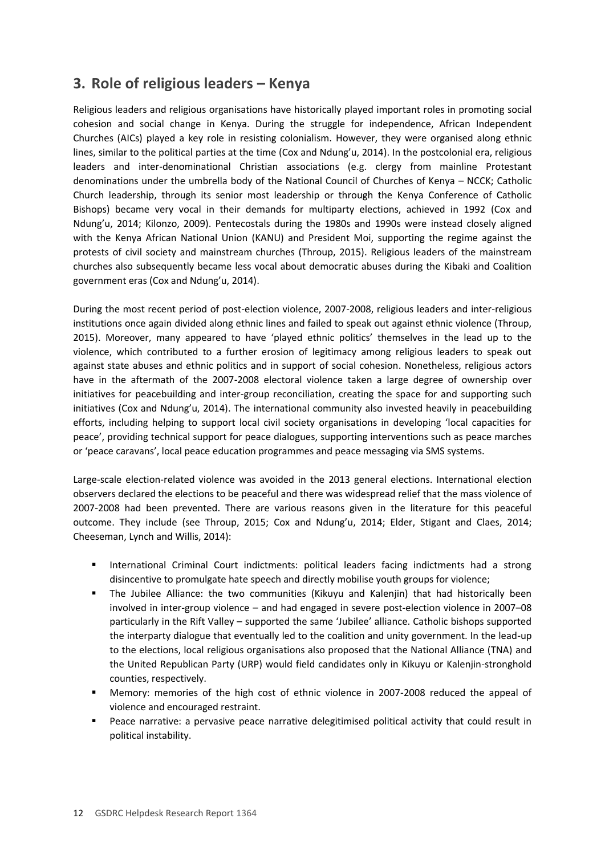# <span id="page-11-0"></span>**3. Role of religious leaders – Kenya**

Religious leaders and religious organisations have historically played important roles in promoting social cohesion and social change in Kenya. During the struggle for independence, African Independent Churches (AICs) played a key role in resisting colonialism. However, they were organised along ethnic lines, similar to the political parties at the time (Cox and Ndung'u, 2014). In the postcolonial era, religious leaders and inter-denominational Christian associations (e.g. clergy from mainline Protestant denominations under the umbrella body of the National Council of Churches of Kenya – NCCK; Catholic Church leadership, through its senior most leadership or through the Kenya Conference of Catholic Bishops) became very vocal in their demands for multiparty elections, achieved in 1992 (Cox and Ndung'u, 2014; Kilonzo, 2009). Pentecostals during the 1980s and 1990s were instead closely aligned with the Kenya African National Union (KANU) and President Moi, supporting the regime against the protests of civil society and mainstream churches (Throup, 2015). Religious leaders of the mainstream churches also subsequently became less vocal about democratic abuses during the Kibaki and Coalition government eras (Cox and Ndung'u, 2014).

During the most recent period of post-election violence, 2007-2008, religious leaders and inter-religious institutions once again divided along ethnic lines and failed to speak out against ethnic violence (Throup, 2015). Moreover, many appeared to have 'played ethnic politics' themselves in the lead up to the violence, which contributed to a further erosion of legitimacy among religious leaders to speak out against state abuses and ethnic politics and in support of social cohesion. Nonetheless, religious actors have in the aftermath of the 2007-2008 electoral violence taken a large degree of ownership over initiatives for peacebuilding and inter-group reconciliation, creating the space for and supporting such initiatives (Cox and Ndung'u, 2014). The international community also invested heavily in peacebuilding efforts, including helping to support local civil society organisations in developing 'local capacities for peace', providing technical support for peace dialogues, supporting interventions such as peace marches or 'peace caravans', local peace education programmes and peace messaging via SMS systems.

Large-scale election-related violence was avoided in the 2013 general elections. International election observers declared the elections to be peaceful and there was widespread relief that the mass violence of 2007-2008 had been prevented. There are various reasons given in the literature for this peaceful outcome. They include (see Throup, 2015; Cox and Ndung'u, 2014; Elder, Stigant and Claes, 2014; Cheeseman, Lynch and Willis, 2014):

- **International Criminal Court indictments: political leaders facing indictments had a strong** disincentive to promulgate hate speech and directly mobilise youth groups for violence;
- The Jubilee Alliance: the two communities (Kikuyu and Kalenjin) that had historically been involved in inter-group violence – and had engaged in severe post-election violence in 2007–08 particularly in the Rift Valley – supported the same 'Jubilee' alliance. Catholic bishops supported the interparty dialogue that eventually led to the coalition and unity government. In the lead-up to the elections, local religious organisations also proposed that the National Alliance (TNA) and the United Republican Party (URP) would field candidates only in Kikuyu or Kalenjin-stronghold counties, respectively.
- Memory: memories of the high cost of ethnic violence in 2007-2008 reduced the appeal of violence and encouraged restraint.
- Peace narrative: a pervasive peace narrative delegitimised political activity that could result in political instability.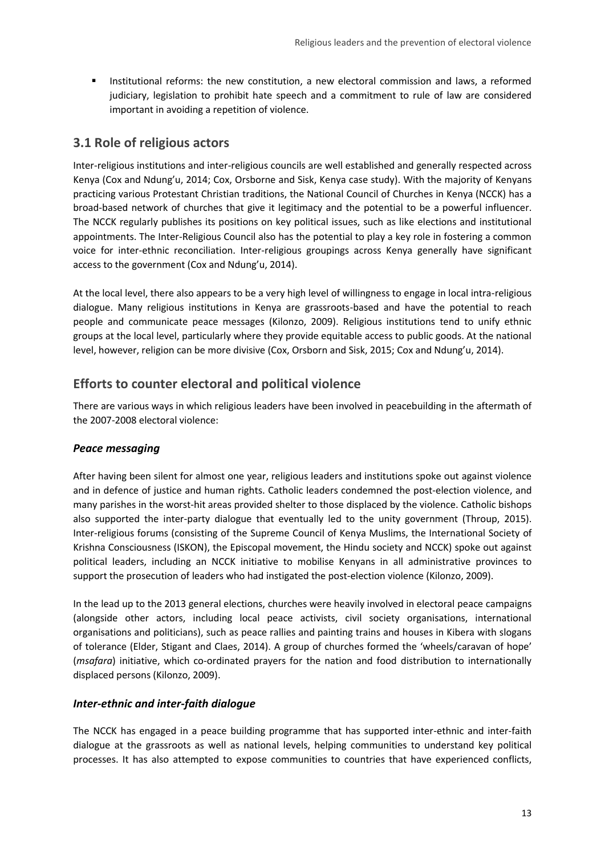**Institutional reforms: the new constitution, a new electoral commission and laws, a reformed** judiciary, legislation to prohibit hate speech and a commitment to rule of law are considered important in avoiding a repetition of violence.

### **3.1 Role of religious actors**

Inter-religious institutions and inter-religious councils are well established and generally respected across Kenya (Cox and Ndung'u, 2014; Cox, Orsborne and Sisk, Kenya case study). With the majority of Kenyans practicing various Protestant Christian traditions, the National Council of Churches in Kenya (NCCK) has a broad-based network of churches that give it legitimacy and the potential to be a powerful influencer. The NCCK regularly publishes its positions on key political issues, such as like elections and institutional appointments. The Inter-Religious Council also has the potential to play a key role in fostering a common voice for inter-ethnic reconciliation. Inter-religious groupings across Kenya generally have significant access to the government (Cox and Ndung'u, 2014).

At the local level, there also appears to be a very high level of willingness to engage in local intra-religious dialogue. Many religious institutions in Kenya are grassroots-based and have the potential to reach people and communicate peace messages (Kilonzo, 2009). Religious institutions tend to unify ethnic groups at the local level, particularly where they provide equitable access to public goods. At the national level, however, religion can be more divisive (Cox, Orsborn and Sisk, 2015; Cox and Ndung'u, 2014).

# **Efforts to counter electoral and political violence**

There are various ways in which religious leaders have been involved in peacebuilding in the aftermath of the 2007-2008 electoral violence:

### *Peace messaging*

After having been silent for almost one year, religious leaders and institutions spoke out against violence and in defence of justice and human rights. Catholic leaders condemned the post-election violence, and many parishes in the worst-hit areas provided shelter to those displaced by the violence. Catholic bishops also supported the inter-party dialogue that eventually led to the unity government (Throup, 2015). Inter-religious forums (consisting of the Supreme Council of Kenya Muslims, the International Society of Krishna Consciousness (ISKON), the Episcopal movement, the Hindu society and NCCK) spoke out against political leaders, including an NCCK initiative to mobilise Kenyans in all administrative provinces to support the prosecution of leaders who had instigated the post-election violence (Kilonzo, 2009).

In the lead up to the 2013 general elections, churches were heavily involved in electoral peace campaigns (alongside other actors, including local peace activists, civil society organisations, international organisations and politicians), such as peace rallies and painting trains and houses in Kibera with slogans of tolerance (Elder, Stigant and Claes, 2014). A group of churches formed the 'wheels/caravan of hope' (*msafara*) initiative, which co-ordinated prayers for the nation and food distribution to internationally displaced persons (Kilonzo, 2009).

### *Inter-ethnic and inter-faith dialogue*

The NCCK has engaged in a peace building programme that has supported inter-ethnic and inter-faith dialogue at the grassroots as well as national levels, helping communities to understand key political processes. It has also attempted to expose communities to countries that have experienced conflicts,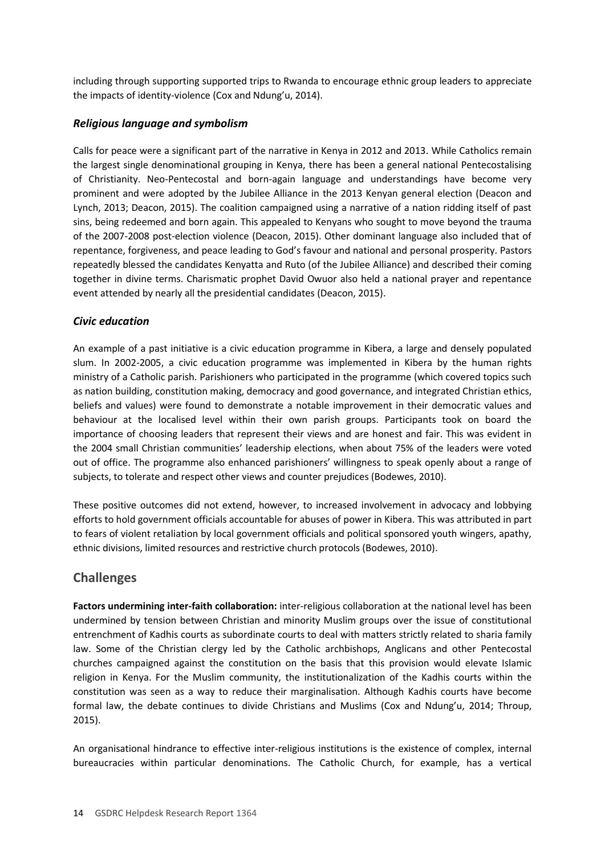including through supporting supported trips to Rwanda to encourage ethnic group leaders to appreciate the impacts of identity-violence (Cox and Ndung'u, 2014).

#### *Religious language and symbolism*

Calls for peace were a significant part of the narrative in Kenya in 2012 and 2013. While Catholics remain the largest single denominational grouping in Kenya, there has been a general national Pentecostalising of Christianity. Neo-Pentecostal and born-again language and understandings have become very prominent and were adopted by the Jubilee Alliance in the 2013 Kenyan general election (Deacon and Lynch, 2013; Deacon, 2015). The coalition campaigned using a narrative of a nation ridding itself of past sins, being redeemed and born again. This appealed to Kenyans who sought to move beyond the trauma of the 2007-2008 post-election violence (Deacon, 2015). Other dominant language also included that of repentance, forgiveness, and peace leading to God's favour and national and personal prosperity. Pastors repeatedly blessed the candidates Kenyatta and Ruto (of the Jubilee Alliance) and described their coming together in divine terms. Charismatic prophet David Owuor also held a national prayer and repentance event attended by nearly all the presidential candidates (Deacon, 2015).

#### *Civic education*

An example of a past initiative is a civic education programme in Kibera, a large and densely populated slum. In 2002-2005, a civic education programme was implemented in Kibera by the human rights ministry of a Catholic parish. Parishioners who participated in the programme (which covered topics such as nation building, constitution making, democracy and good governance, and integrated Christian ethics, beliefs and values) were found to demonstrate a notable improvement in their democratic values and behaviour at the localised level within their own parish groups. Participants took on board the importance of choosing leaders that represent their views and are honest and fair. This was evident in the 2004 small Christian communities' leadership elections, when about 75% of the leaders were voted out of office. The programme also enhanced parishioners' willingness to speak openly about a range of subjects, to tolerate and respect other views and counter prejudices (Bodewes, 2010).

These positive outcomes did not extend, however, to increased involvement in advocacy and lobbying efforts to hold government officials accountable for abuses of power in Kibera. This was attributed in part to fears of violent retaliation by local government officials and political sponsored youth wingers, apathy, ethnic divisions, limited resources and restrictive church protocols (Bodewes, 2010).

### **Challenges**

**Factors undermining inter-faith collaboration:** inter-religious collaboration at the national level has been undermined by tension between Christian and minority Muslim groups over the issue of constitutional entrenchment of Kadhis courts as subordinate courts to deal with matters strictly related to sharia family law. Some of the Christian clergy led by the Catholic archbishops, Anglicans and other Pentecostal churches campaigned against the constitution on the basis that this provision would elevate Islamic religion in Kenya. For the Muslim community, the institutionalization of the Kadhis courts within the constitution was seen as a way to reduce their marginalisation. Although Kadhis courts have become formal law, the debate continues to divide Christians and Muslims (Cox and Ndung'u, 2014; Throup, 2015).

An organisational hindrance to effective inter-religious institutions is the existence of complex, internal bureaucracies within particular denominations. The Catholic Church, for example, has a vertical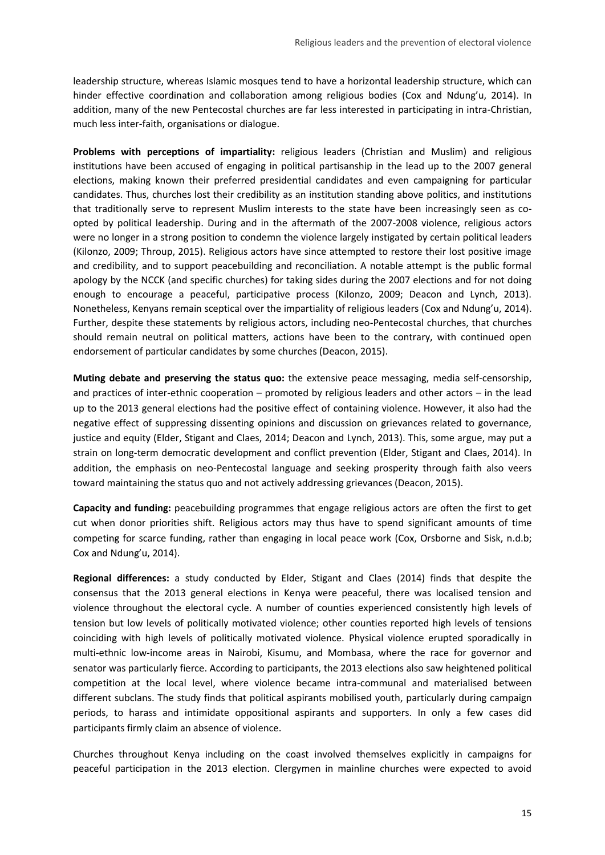leadership structure, whereas Islamic mosques tend to have a horizontal leadership structure, which can hinder effective coordination and collaboration among religious bodies (Cox and Ndung'u, 2014). In addition, many of the new Pentecostal churches are far less interested in participating in intra-Christian, much less inter-faith, organisations or dialogue.

**Problems with perceptions of impartiality:** religious leaders (Christian and Muslim) and religious institutions have been accused of engaging in political partisanship in the lead up to the 2007 general elections, making known their preferred presidential candidates and even campaigning for particular candidates. Thus, churches lost their credibility as an institution standing above politics, and institutions that traditionally serve to represent Muslim interests to the state have been increasingly seen as coopted by political leadership. During and in the aftermath of the 2007-2008 violence, religious actors were no longer in a strong position to condemn the violence largely instigated by certain political leaders (Kilonzo, 2009; Throup, 2015). Religious actors have since attempted to restore their lost positive image and credibility, and to support peacebuilding and reconciliation. A notable attempt is the public formal apology by the NCCK (and specific churches) for taking sides during the 2007 elections and for not doing enough to encourage a peaceful, participative process (Kilonzo, 2009; Deacon and Lynch, 2013). Nonetheless, Kenyans remain sceptical over the impartiality of religious leaders (Cox and Ndung'u, 2014). Further, despite these statements by religious actors, including neo-Pentecostal churches, that churches should remain neutral on political matters, actions have been to the contrary, with continued open endorsement of particular candidates by some churches (Deacon, 2015).

**Muting debate and preserving the status quo:** the extensive peace messaging, media self-censorship, and practices of inter-ethnic cooperation – promoted by religious leaders and other actors – in the lead up to the 2013 general elections had the positive effect of containing violence. However, it also had the negative effect of suppressing dissenting opinions and discussion on grievances related to governance, justice and equity (Elder, Stigant and Claes, 2014; Deacon and Lynch, 2013). This, some argue, may put a strain on long-term democratic development and conflict prevention (Elder, Stigant and Claes, 2014). In addition, the emphasis on neo-Pentecostal language and seeking prosperity through faith also veers toward maintaining the status quo and not actively addressing grievances (Deacon, 2015).

**Capacity and funding:** peacebuilding programmes that engage religious actors are often the first to get cut when donor priorities shift. Religious actors may thus have to spend significant amounts of time competing for scarce funding, rather than engaging in local peace work (Cox, Orsborne and Sisk, n.d.b; Cox and Ndung'u, 2014).

**Regional differences:** a study conducted by Elder, Stigant and Claes (2014) finds that despite the consensus that the 2013 general elections in Kenya were peaceful, there was localised tension and violence throughout the electoral cycle. A number of counties experienced consistently high levels of tension but low levels of politically motivated violence; other counties reported high levels of tensions coinciding with high levels of politically motivated violence. Physical violence erupted sporadically in multi-ethnic low-income areas in Nairobi, Kisumu, and Mombasa, where the race for governor and senator was particularly fierce. According to participants, the 2013 elections also saw heightened political competition at the local level, where violence became intra-communal and materialised between different subclans. The study finds that political aspirants mobilised youth, particularly during campaign periods, to harass and intimidate oppositional aspirants and supporters. In only a few cases did participants firmly claim an absence of violence.

Churches throughout Kenya including on the coast involved themselves explicitly in campaigns for peaceful participation in the 2013 election. Clergymen in mainline churches were expected to avoid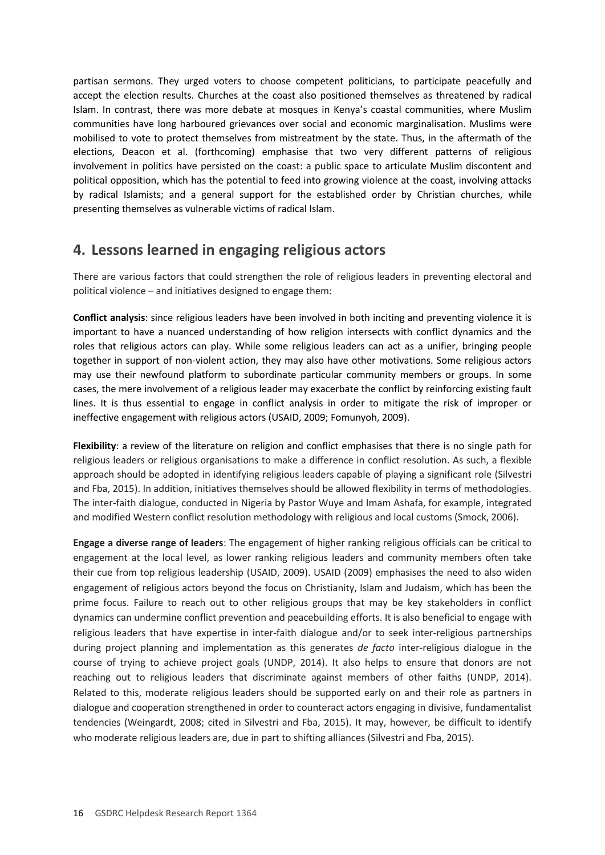<span id="page-15-0"></span>partisan sermons. They urged voters to choose competent politicians, to participate peacefully and accept the election results. Churches at the coast also positioned themselves as threatened by radical Islam. In contrast, there was more debate at mosques in Kenya's coastal communities, where Muslim communities have long harboured grievances over social and economic marginalisation. Muslims were mobilised to vote to protect themselves from mistreatment by the state. Thus, in the aftermath of the elections, Deacon et al. (forthcoming) emphasise that two very different patterns of religious involvement in politics have persisted on the coast: a public space to articulate Muslim discontent and political opposition, which has the potential to feed into growing violence at the coast, involving attacks by radical Islamists; and a general support for the established order by Christian churches, while presenting themselves as vulnerable victims of radical Islam.

# **4. Lessons learned in engaging religious actors**

There are various factors that could strengthen the role of religious leaders in preventing electoral and political violence – and initiatives designed to engage them:

**Conflict analysis**: since religious leaders have been involved in both inciting and preventing violence it is important to have a nuanced understanding of how religion intersects with conflict dynamics and the roles that religious actors can play. While some religious leaders can act as a unifier, bringing people together in support of non-violent action, they may also have other motivations. Some religious actors may use their newfound platform to subordinate particular community members or groups. In some cases, the mere involvement of a religious leader may exacerbate the conflict by reinforcing existing fault lines. It is thus essential to engage in conflict analysis in order to mitigate the risk of improper or ineffective engagement with religious actors (USAID, 2009; Fomunyoh, 2009).

**Flexibility**: a review of the literature on religion and conflict emphasises that there is no single path for religious leaders or religious organisations to make a difference in conflict resolution. As such, a flexible approach should be adopted in identifying religious leaders capable of playing a significant role (Silvestri and Fba, 2015). In addition, initiatives themselves should be allowed flexibility in terms of methodologies. The inter-faith dialogue, conducted in Nigeria by Pastor Wuye and Imam Ashafa, for example, integrated and modified Western conflict resolution methodology with religious and local customs (Smock, 2006).

**Engage a diverse range of leaders**: The engagement of higher ranking religious officials can be critical to engagement at the local level, as lower ranking religious leaders and community members often take their cue from top religious leadership (USAID, 2009). USAID (2009) emphasises the need to also widen engagement of religious actors beyond the focus on Christianity, Islam and Judaism, which has been the prime focus. Failure to reach out to other religious groups that may be key stakeholders in conflict dynamics can undermine conflict prevention and peacebuilding efforts. It is also beneficial to engage with religious leaders that have expertise in inter-faith dialogue and/or to seek inter-religious partnerships during project planning and implementation as this generates *de facto* inter-religious dialogue in the course of trying to achieve project goals (UNDP, 2014). It also helps to ensure that donors are not reaching out to religious leaders that discriminate against members of other faiths (UNDP, 2014). Related to this, moderate religious leaders should be supported early on and their role as partners in dialogue and cooperation strengthened in order to counteract actors engaging in divisive, fundamentalist tendencies (Weingardt, 2008; cited in Silvestri and Fba, 2015). It may, however, be difficult to identify who moderate religious leaders are, due in part to shifting alliances (Silvestri and Fba, 2015).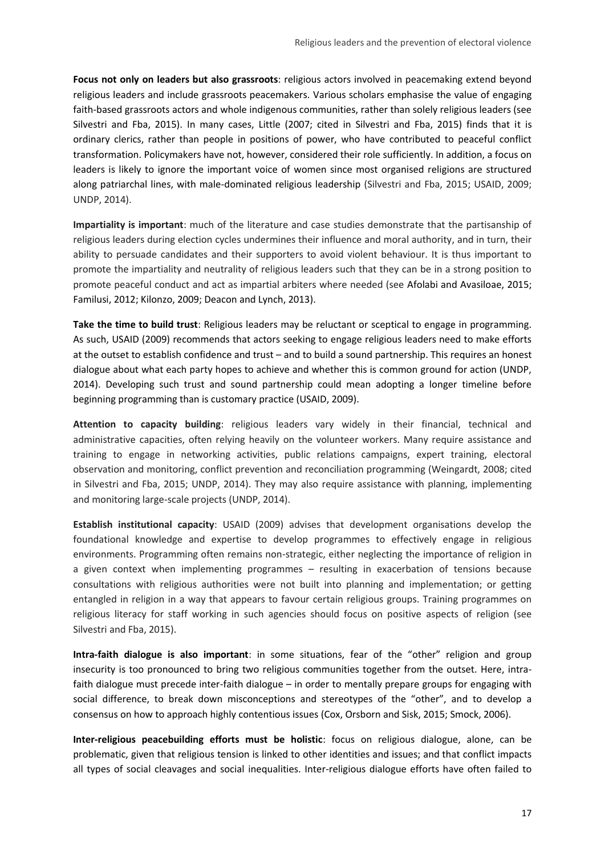**Focus not only on leaders but also grassroots**: religious actors involved in peacemaking extend beyond religious leaders and include grassroots peacemakers. Various scholars emphasise the value of engaging faith-based grassroots actors and whole indigenous communities, rather than solely religious leaders (see Silvestri and Fba, 2015). In many cases, Little (2007; cited in Silvestri and Fba, 2015) finds that it is ordinary clerics, rather than people in positions of power, who have contributed to peaceful conflict transformation. Policymakers have not, however, considered their role sufficiently. In addition, a focus on leaders is likely to ignore the important voice of women since most organised religions are structured along patriarchal lines, with male-dominated religious leadership (Silvestri and Fba, 2015; USAID, 2009; UNDP, 2014).

**Impartiality is important**: much of the literature and case studies demonstrate that the partisanship of religious leaders during election cycles undermines their influence and moral authority, and in turn, their ability to persuade candidates and their supporters to avoid violent behaviour. It is thus important to promote the impartiality and neutrality of religious leaders such that they can be in a strong position to promote peaceful conduct and act as impartial arbiters where needed (see Afolabi and Avasiloae, 2015; Familusi, 2012; Kilonzo, 2009; Deacon and Lynch, 2013).

**Take the time to build trust**: Religious leaders may be reluctant or sceptical to engage in programming. As such, USAID (2009) recommends that actors seeking to engage religious leaders need to make efforts at the outset to establish confidence and trust – and to build a sound partnership. This requires an honest dialogue about what each party hopes to achieve and whether this is common ground for action (UNDP, 2014). Developing such trust and sound partnership could mean adopting a longer timeline before beginning programming than is customary practice (USAID, 2009).

**Attention to capacity building**: religious leaders vary widely in their financial, technical and administrative capacities, often relying heavily on the volunteer workers. Many require assistance and training to engage in networking activities, public relations campaigns, expert training, electoral observation and monitoring, conflict prevention and reconciliation programming (Weingardt, 2008; cited in Silvestri and Fba, 2015; UNDP, 2014). They may also require assistance with planning, implementing and monitoring large-scale projects (UNDP, 2014).

**Establish institutional capacity**: USAID (2009) advises that development organisations develop the foundational knowledge and expertise to develop programmes to effectively engage in religious environments. Programming often remains non-strategic, either neglecting the importance of religion in a given context when implementing programmes – resulting in exacerbation of tensions because consultations with religious authorities were not built into planning and implementation; or getting entangled in religion in a way that appears to favour certain religious groups. Training programmes on religious literacy for staff working in such agencies should focus on positive aspects of religion (see Silvestri and Fba, 2015).

**Intra-faith dialogue is also important**: in some situations, fear of the "other" religion and group insecurity is too pronounced to bring two religious communities together from the outset. Here, intrafaith dialogue must precede inter-faith dialogue – in order to mentally prepare groups for engaging with social difference, to break down misconceptions and stereotypes of the "other", and to develop a consensus on how to approach highly contentious issues (Cox, Orsborn and Sisk, 2015; Smock, 2006).

**Inter-religious peacebuilding efforts must be holistic**: focus on religious dialogue, alone, can be problematic, given that religious tension is linked to other identities and issues; and that conflict impacts all types of social cleavages and social inequalities. Inter-religious dialogue efforts have often failed to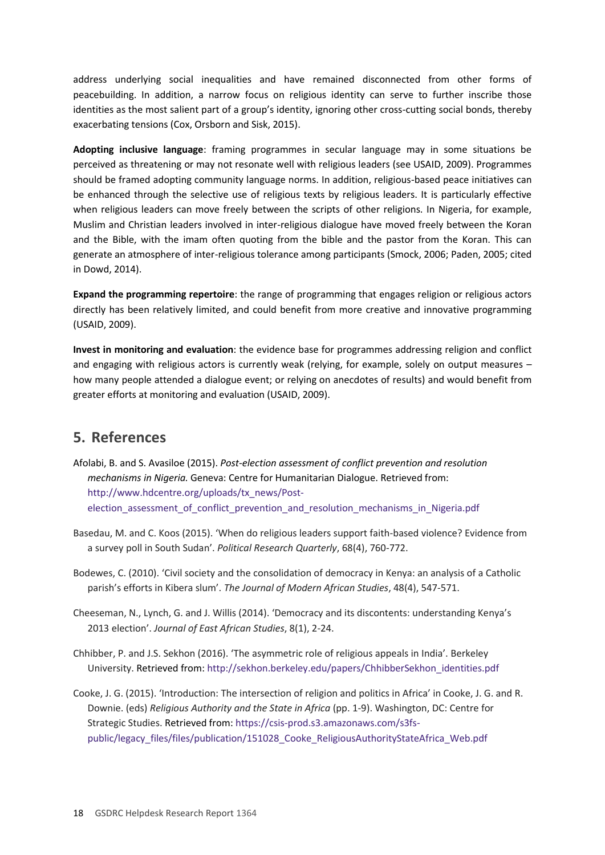address underlying social inequalities and have remained disconnected from other forms of peacebuilding. In addition, a narrow focus on religious identity can serve to further inscribe those identities as the most salient part of a group's identity, ignoring other cross-cutting social bonds, thereby exacerbating tensions (Cox, Orsborn and Sisk, 2015).

**Adopting inclusive language**: framing programmes in secular language may in some situations be perceived as threatening or may not resonate well with religious leaders (see USAID, 2009). Programmes should be framed adopting community language norms. In addition, religious-based peace initiatives can be enhanced through the selective use of religious texts by religious leaders. It is particularly effective when religious leaders can move freely between the scripts of other religions. In Nigeria, for example, Muslim and Christian leaders involved in inter-religious dialogue have moved freely between the Koran and the Bible, with the imam often quoting from the bible and the pastor from the Koran. This can generate an atmosphere of inter-religious tolerance among participants (Smock, 2006; Paden, 2005; cited in Dowd, 2014).

**Expand the programming repertoire**: the range of programming that engages religion or religious actors directly has been relatively limited, and could benefit from more creative and innovative programming (USAID, 2009).

**Invest in monitoring and evaluation**: the evidence base for programmes addressing religion and conflict and engaging with religious actors is currently weak (relying, for example, solely on output measures – how many people attended a dialogue event; or relying on anecdotes of results) and would benefit from greater efforts at monitoring and evaluation (USAID, 2009).

# <span id="page-17-0"></span>**5. References**

Afolabi, B. and S. Avasiloe (2015). *Post-election assessment of conflict prevention and resolution mechanisms in Nigeria.* Geneva: Centre for Humanitarian Dialogue. Retrieved from: [http://www.hdcentre.org/uploads/tx\\_news/Post](http://www.hdcentre.org/uploads/tx_news/Post-election_assessment_of_conflict_prevention_and_resolution_mechanisms_in_Nigeria.pdf)[election\\_assessment\\_of\\_conflict\\_prevention\\_and\\_resolution\\_mechanisms\\_in\\_Nigeria.pdf](http://www.hdcentre.org/uploads/tx_news/Post-election_assessment_of_conflict_prevention_and_resolution_mechanisms_in_Nigeria.pdf)

- Basedau, M. and C. Koos (2015). 'When do religious leaders support faith-based violence? Evidence from a survey poll in South Sudan'. *Political Research Quarterly*, 68(4), 760-772.
- Bodewes, C. (2010). 'Civil society and the consolidation of democracy in Kenya: an analysis of a Catholic parish's efforts in Kibera slum'. *The Journal of Modern African Studies*, 48(4), 547-571.
- Cheeseman, N., Lynch, G. and J. Willis (2014). 'Democracy and its discontents: understanding Kenya's 2013 election'. *Journal of East African Studies*, 8(1), 2-24.
- Chhibber, P. and J.S. Sekhon (2016). 'The asymmetric role of religious appeals in India'. Berkeley University. Retrieved from: [http://sekhon.berkeley.edu/papers/ChhibberSekhon\\_identities.pdf](http://sekhon.berkeley.edu/papers/ChhibberSekhon_identities.pdf)
- Cooke, J. G. (2015). 'Introduction: The intersection of religion and politics in Africa' in Cooke, J. G. and R. Downie. (eds) *Religious Authority and the State in Africa* (pp. 1-9). Washington, DC: Centre for Strategic Studies. Retrieved from: [https://csis-prod.s3.amazonaws.com/s3fs](https://csis-prod.s3.amazonaws.com/s3fs-public/legacy_files/files/publication/151028_Cooke_ReligiousAuthorityStateAfrica_Web.pdf)[public/legacy\\_files/files/publication/151028\\_Cooke\\_ReligiousAuthorityStateAfrica\\_Web.pdf](https://csis-prod.s3.amazonaws.com/s3fs-public/legacy_files/files/publication/151028_Cooke_ReligiousAuthorityStateAfrica_Web.pdf)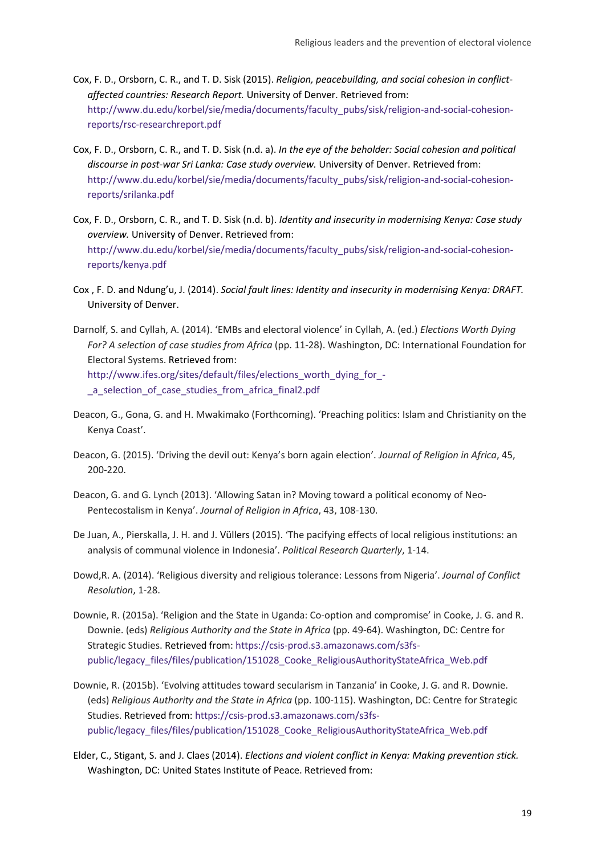- Cox, F. D., Orsborn, C. R., and T. D. Sisk (2015). *Religion, peacebuilding, and social cohesion in conflictaffected countries: Research Report.* University of Denver. Retrieved from: [http://www.du.edu/korbel/sie/media/documents/faculty\\_pubs/sisk/religion-and-social-cohesion](http://www.du.edu/korbel/sie/media/documents/faculty_pubs/sisk/religion-and-social-cohesion-reports/rsc-researchreport.pdf)[reports/rsc-researchreport.pdf](http://www.du.edu/korbel/sie/media/documents/faculty_pubs/sisk/religion-and-social-cohesion-reports/rsc-researchreport.pdf)
- Cox, F. D., Orsborn, C. R., and T. D. Sisk (n.d. a). *In the eye of the beholder: Social cohesion and political discourse in post-war Sri Lanka: Case study overview.* University of Denver. Retrieved from: [http://www.du.edu/korbel/sie/media/documents/faculty\\_pubs/sisk/religion-and-social-cohesion](http://www.du.edu/korbel/sie/media/documents/faculty_pubs/sisk/religion-and-social-cohesion-reports/srilanka.pdf)[reports/srilanka.pdf](http://www.du.edu/korbel/sie/media/documents/faculty_pubs/sisk/religion-and-social-cohesion-reports/srilanka.pdf)
- Cox, F. D., Orsborn, C. R., and T. D. Sisk (n.d. b). *Identity and insecurity in modernising Kenya: Case study overview.* University of Denver. Retrieved from: [http://www.du.edu/korbel/sie/media/documents/faculty\\_pubs/sisk/religion-and-social-cohesion](http://www.du.edu/korbel/sie/media/documents/faculty_pubs/sisk/religion-and-social-cohesion-reports/kenya.pdf)[reports/kenya.pdf](http://www.du.edu/korbel/sie/media/documents/faculty_pubs/sisk/religion-and-social-cohesion-reports/kenya.pdf)
- Cox , F. D. and Ndung'u, J. (2014). *Social fault lines: Identity and insecurity in modernising Kenya: DRAFT.* University of Denver.
- Darnolf, S. and Cyllah, A. (2014). 'EMBs and electoral violence' in Cyllah, A. (ed.) *Elections Worth Dying For? A selection of case studies from Africa* (pp. 11-28). Washington, DC: International Foundation for Electoral Systems. Retrieved from: [http://www.ifes.org/sites/default/files/elections\\_worth\\_dying\\_for\\_-](http://www.ifes.org/sites/default/files/elections_worth_dying_for_-_a_selection_of_case_studies_from_africa_final2.pdf) [\\_a\\_selection\\_of\\_case\\_studies\\_from\\_africa\\_final2.pdf](http://www.ifes.org/sites/default/files/elections_worth_dying_for_-_a_selection_of_case_studies_from_africa_final2.pdf)
- Deacon, G., Gona, G. and H. Mwakimako (Forthcoming). 'Preaching politics: Islam and Christianity on the Kenya Coast'.
- Deacon, G. (2015). 'Driving the devil out: Kenya's born again election'. *Journal of Religion in Africa*, 45, 200-220.
- Deacon, G. and G. Lynch (2013). 'Allowing Satan in? Moving toward a political economy of Neo-Pentecostalism in Kenya'. *Journal of Religion in Africa*, 43, 108-130.
- De Juan, A., Pierskalla, J. H. and J. Vüllers (2015). 'The pacifying effects of local religious institutions: an analysis of communal violence in Indonesia'. *Political Research Quarterly*, 1-14.
- Dowd,R. A. (2014). 'Religious diversity and religious tolerance: Lessons from Nigeria'. *Journal of Conflict Resolution*, 1-28.
- Downie, R. (2015a). 'Religion and the State in Uganda: Co-option and compromise' in Cooke, J. G. and R. Downie. (eds) *Religious Authority and the State in Africa* (pp. 49-64). Washington, DC: Centre for Strategic Studies. Retrieved from: [https://csis-prod.s3.amazonaws.com/s3fs](https://csis-prod.s3.amazonaws.com/s3fs-public/legacy_files/files/publication/151028_Cooke_ReligiousAuthorityStateAfrica_Web.pdf)[public/legacy\\_files/files/publication/151028\\_Cooke\\_ReligiousAuthorityStateAfrica\\_Web.pdf](https://csis-prod.s3.amazonaws.com/s3fs-public/legacy_files/files/publication/151028_Cooke_ReligiousAuthorityStateAfrica_Web.pdf)
- Downie, R. (2015b). 'Evolving attitudes toward secularism in Tanzania' in Cooke, J. G. and R. Downie. (eds) *Religious Authority and the State in Africa* (pp. 100-115). Washington, DC: Centre for Strategic Studies. Retrieved from: [https://csis-prod.s3.amazonaws.com/s3fs](https://csis-prod.s3.amazonaws.com/s3fs-public/legacy_files/files/publication/151028_Cooke_ReligiousAuthorityStateAfrica_Web.pdf)[public/legacy\\_files/files/publication/151028\\_Cooke\\_ReligiousAuthorityStateAfrica\\_Web.pdf](https://csis-prod.s3.amazonaws.com/s3fs-public/legacy_files/files/publication/151028_Cooke_ReligiousAuthorityStateAfrica_Web.pdf)
- Elder, C., Stigant, S. and J. Claes (2014). *Elections and violent conflict in Kenya: Making prevention stick.* Washington, DC: United States Institute of Peace. Retrieved from: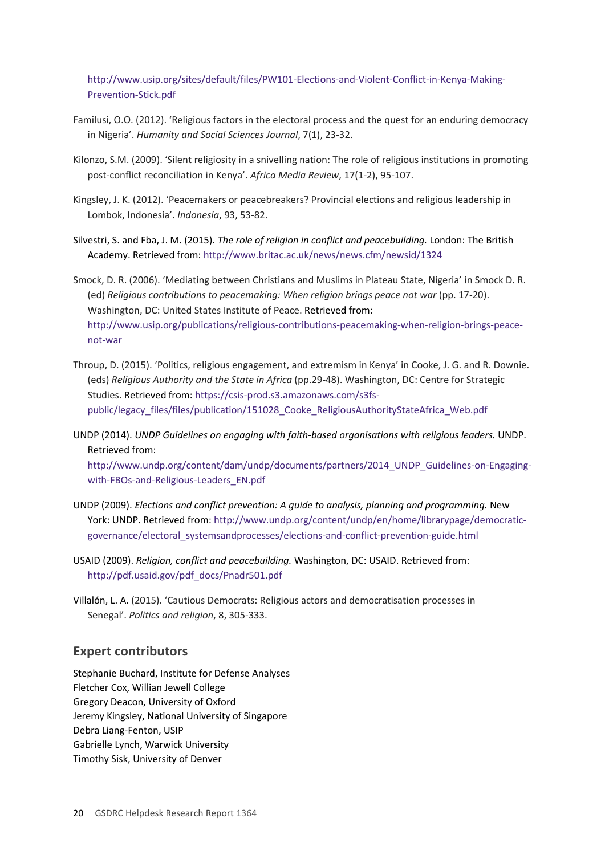[http://www.usip.org/sites/default/files/PW101-Elections-and-Violent-Conflict-in-Kenya-Making-](http://www.usip.org/sites/default/files/PW101-Elections-and-Violent-Conflict-in-Kenya-Making-Prevention-Stick.pdf)[Prevention-Stick.pdf](http://www.usip.org/sites/default/files/PW101-Elections-and-Violent-Conflict-in-Kenya-Making-Prevention-Stick.pdf)

- Familusi, O.O. (2012). 'Religious factors in the electoral process and the quest for an enduring democracy in Nigeria'. *Humanity and Social Sciences Journal*, 7(1), 23-32.
- Kilonzo, S.M. (2009). 'Silent religiosity in a snivelling nation: The role of religious institutions in promoting post-conflict reconciliation in Kenya'. *Africa Media Review*, 17(1-2), 95-107.
- Kingsley, J. K. (2012). 'Peacemakers or peacebreakers? Provincial elections and religious leadership in Lombok, Indonesia'. *Indonesia*, 93, 53-82.
- Silvestri, S. and Fba, J. M. (2015). *The role of religion in conflict and peacebuilding.* London: The British Academy. Retrieved from:<http://www.britac.ac.uk/news/news.cfm/newsid/1324>

Smock, D. R. (2006). 'Mediating between Christians and Muslims in Plateau State, Nigeria' in Smock D. R. (ed) *Religious contributions to peacemaking: When religion brings peace not war* (pp. 17-20). Washington, DC: United States Institute of Peace. Retrieved from: [http://www.usip.org/publications/religious-contributions-peacemaking-when-religion-brings-peace](http://www.usip.org/publications/religious-contributions-peacemaking-when-religion-brings-peace-not-war)[not-war](http://www.usip.org/publications/religious-contributions-peacemaking-when-religion-brings-peace-not-war)

- Throup, D. (2015). 'Politics, religious engagement, and extremism in Kenya' in Cooke, J. G. and R. Downie. (eds) *Religious Authority and the State in Africa* (pp.29-48). Washington, DC: Centre for Strategic Studies. Retrieved from: [https://csis-prod.s3.amazonaws.com/s3fs](https://csis-prod.s3.amazonaws.com/s3fs-public/legacy_files/files/publication/151028_Cooke_ReligiousAuthorityStateAfrica_Web.pdf)[public/legacy\\_files/files/publication/151028\\_Cooke\\_ReligiousAuthorityStateAfrica\\_Web.pdf](https://csis-prod.s3.amazonaws.com/s3fs-public/legacy_files/files/publication/151028_Cooke_ReligiousAuthorityStateAfrica_Web.pdf)
- UNDP (2014). *UNDP Guidelines on engaging with faith-based organisations with religious leaders.* UNDP. Retrieved from:

[http://www.undp.org/content/dam/undp/documents/partners/2014\\_UNDP\\_Guidelines-on-Engaging](http://www.undp.org/content/dam/undp/documents/partners/2014_UNDP_Guidelines-on-Engaging-with-FBOs-and-Religious-Leaders_EN.pdf)[with-FBOs-and-Religious-Leaders\\_EN.pdf](http://www.undp.org/content/dam/undp/documents/partners/2014_UNDP_Guidelines-on-Engaging-with-FBOs-and-Religious-Leaders_EN.pdf)

- UNDP (2009). *Elections and conflict prevention: A guide to analysis, planning and programming.* New York: UNDP. Retrieved from[: http://www.undp.org/content/undp/en/home/librarypage/democratic](http://www.undp.org/content/undp/en/home/librarypage/democratic-governance/electoral_systemsandprocesses/elections-and-conflict-prevention-guide.html)[governance/electoral\\_systemsandprocesses/elections-and-conflict-prevention-guide.html](http://www.undp.org/content/undp/en/home/librarypage/democratic-governance/electoral_systemsandprocesses/elections-and-conflict-prevention-guide.html)
- USAID (2009). *Religion, conflict and peacebuilding.* Washington, DC: USAID. Retrieved from: [http://pdf.usaid.gov/pdf\\_docs/Pnadr501.pdf](http://pdf.usaid.gov/pdf_docs/Pnadr501.pdf)
- Villalón, L. A. (2015). 'Cautious Democrats: Religious actors and democratisation processes in Senegal'. *Politics and religion*, 8, 305-333.

### **Expert contributors**

Stephanie Buchard, Institute for Defense Analyses Fletcher Cox, Willian Jewell College Gregory Deacon, University of Oxford Jeremy Kingsley, National University of Singapore Debra Liang-Fenton, USIP Gabrielle Lynch, Warwick University Timothy Sisk, University of Denver